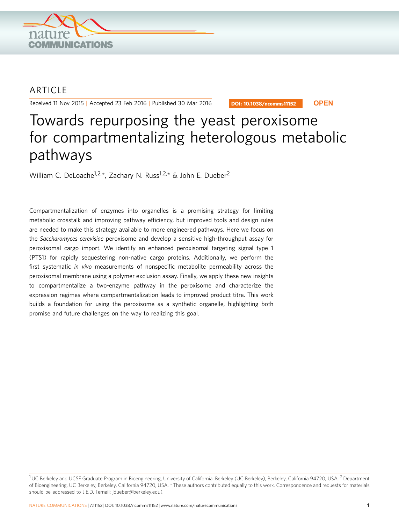

## **ARTICLE**

Received 11 Nov 2015 | Accepted 23 Feb 2016 | Published 30 Mar 2016

DOI: 10.1038/ncomms11152 **OPEN**

# Towards repurposing the yeast peroxisome for compartmentalizing heterologous metabolic pathways

William C. DeLoache<sup>1,2,\*</sup>, Zachary N. Russ<sup>1,2,\*</sup> & John E. Dueber<sup>2</sup>

Compartmentalization of enzymes into organelles is a promising strategy for limiting metabolic crosstalk and improving pathway efficiency, but improved tools and design rules are needed to make this strategy available to more engineered pathways. Here we focus on the Saccharomyces cerevisiae peroxisome and develop a sensitive high-throughput assay for peroxisomal cargo import. We identify an enhanced peroxisomal targeting signal type 1 (PTS1) for rapidly sequestering non-native cargo proteins. Additionally, we perform the first systematic in vivo measurements of nonspecific metabolite permeability across the peroxisomal membrane using a polymer exclusion assay. Finally, we apply these new insights to compartmentalize a two-enzyme pathway in the peroxisome and characterize the expression regimes where compartmentalization leads to improved product titre. This work builds a foundation for using the peroxisome as a synthetic organelle, highlighting both promise and future challenges on the way to realizing this goal.

<sup>&</sup>lt;sup>1</sup> UC Berkeley and UCSF Graduate Program in Bioengineering, University of California, Berkeley (UC Berkeley), Berkeley, California 94720, USA. <sup>2</sup> Department of Bioengineering, UC Berkeley, Berkeley, California 94720, USA. \* These authors contributed equally to this work. Correspondence and requests for materials should be addressed to J.E.D. (email: [jdueber@berkeley.edu](mailto:jdueber@berkeley.edu)).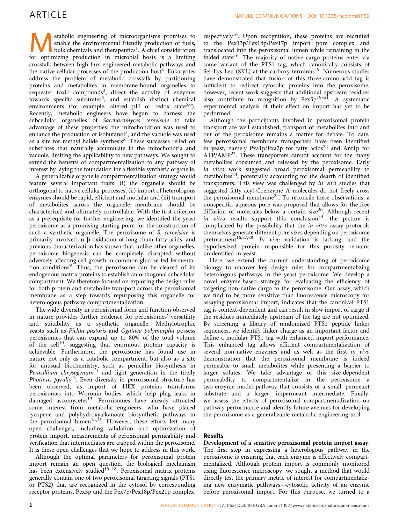**Metabolic engineering of microorganisms promises to**<br>
bulk chemicals and therapeutics<sup>1</sup>. A chief consideration<br>
for optimizing production in microbial bosts is a limiting enable the environmental friendly production of fuels, for optimizing production in microbial hosts is a limiting crosstalk between high-flux engineered metabolic pathways and the native cellular processes of the production host<sup>2</sup>. Eukaryotes address the problem of metabolic crosstalk by partitioning proteins and metabolites in membrane-bound organelles to sequester toxic compounds<sup>[3](#page-9-0)</sup>, direct the activity of enzymes towards specific substrates<sup>[4](#page-9-0)</sup>, and establish distinct chemical environments (for example, altered  $pH$  or redox state<sup>[5,6](#page-9-0)</sup>). Recently, metabolic engineers have begun to harness the subcellular organelles of Saccharomyces cerevisiae to take advantage of these properties: the mitochondrion was used to enhance the production of isobutanol<sup>[7](#page-9-0)</sup>, and the vacuole was used as a site for methyl halide synthesis<sup>[8](#page-9-0)</sup>. These successes relied on substrates that naturally accumulate in the mitochondria and vacuole, limiting the applicability to new pathways. We sought to extend the benefits of compartmentalization to any pathway of interest by laying the foundation for a flexible synthetic organelle.

A generalizable organelle compartmentalization strategy would feature several important traits: (i) the organelle should be orthogonal to native cellular processes, (ii) import of heterologous enzymes should be rapid, efficient and modular and (iii) transport of metabolites across the organelle membrane should be characterized and ultimately controllable. With the first criterion as a prerequisite for further engineering, we identified the yeast peroxisome as a promising starting point for the construction of such a synthetic organelle. The peroxisome of S. cerevisiae is primarily involved in  $\beta$ -oxidation of long-chain fatty acids, and previous characterization has shown that, unlike other organelles, peroxisome biogenesis can be completely disrupted without adversely affecting cell growth in common glucose-fed fermentation conditions[9](#page-9-0). Thus, the peroxisome can be cleared of its endogenous matrix proteins to establish an orthogonal subcellular compartment. We therefore focused on exploring the design rules for both protein and metabolite transport across the peroxisomal membrane as a step towards repurposing this organelle for heterologous pathway compartmentalization.

The wide diversity in peroxisomal form and function observed in nature provides further evidence for peroxisomes' versatility and suitability as a synthetic organelle. Methylotrophic yeasts such as Pichia pastoris and Ogataea polymorpha possess peroxisomes that can expand up to 80% of the total volume of the cell<sup>[10](#page-9-0)</sup>, suggesting that enormous protein capacity is achievable. Furthermore, the peroxisome has found use in nature not only as a catabolic compartment, but also as a site for unusual biochemistry, such as penicillin biosynthesis in Penicillium chrysogenum<sup>[11](#page-9-0)</sup> and light generation in the firefly *Photinus pyralis*<sup>12</sup>. Even diversity in peroxisomal structure has been observed, as import of HEX proteins transforms peroxisomes into Woronin bodies, which help plug leaks in damaged ascomycetes<sup>13</sup>. Peroxisomes have already attracted some interest from metabolic engineers, who have placed lycopene and polyhydroxyalkanoate biosynthetic pathways in the peroxisomal lumen<sup>[14,15](#page-9-0)</sup>. However, these efforts left many open challenges, including validation and optimization of protein import, measurements of peroxisomal permeability and verification that intermediates are trapped within the peroxisome. It is these open challenges that we hope to address in this work.

Although the optimal parameters for peroxisomal protein import remain an open question, the biological mechanism has been extensively studied<sup>16-18</sup>. Peroxisomal matrix proteins generally contain one of two peroxisomal targeting signals (PTS1 or PTS2) that are recognized in the cytosol by corresponding receptor proteins, Pex5p and the Pex7p/Pex18p/Pex21p complex,

respectively<sup>16</sup>. Upon recognition, these proteins are recruited to the Pex13p/Pex14p/Pex17p import pore complex and translocated into the peroxisomal lumen while remaining in the folded state<sup>[16](#page-9-0)</sup>. The majority of native cargo proteins enter via some variant of the PTS1 tag, which canonically consists of Ser-Lys-Leu (SKL) at the carboxy-terminus<sup>[19](#page-9-0)</sup>. Numerous studies have demonstrated that fusion of this three-amino-acid tag is sufficient to redirect cytosolic proteins into the peroxisome, however, recent work suggests that additional upstream residues also contribute to recognition by  $Pex5p^{19-21}$ . A systematic experimental analysis of their effect on import has yet to be performed.

Although the participants involved in peroxisomal protein transport are well established, transport of metabolites into and out of the peroxisome remains a matter for debate. To date, few peroxisomal membrane transporters have been identified in yeast, namely Pxa1p/Pxa2p for fatty acids<sup>[22](#page-10-0)</sup> and Ant1p for  $ATP/AMP<sup>23</sup>$ . These transporters cannot account for the many metabolites consumed and released by the peroxisome. Early in vitro work suggested broad peroxisomal permeability to metabolites $^{24}$  $^{24}$  $^{24}$ , potentially accounting for the dearth of identified transporters. This view was challenged by in vivo studies that suggested fatty acyl-Coenzyme A molecules do not freely cross the peroxisomal membrane<sup>[25](#page-10-0)</sup>. To reconcile these observations, a nonspecific, aqueous pore was proposed that allows for the free diffusion of molecules below a certain size<sup>26</sup>. Although recent in vitro results support this conclusion<sup>23</sup>, the picture is complicated by the possibility that the in vitro assay protocols themselves generate different pore sizes depending on peroxisome pretreatment<sup>16,27,28</sup>. In vivo validation is lacking, and the hypothesized protein responsible for this porosity remains unidentified in yeast.

Here, we extend the current understanding of peroxisome biology to uncover key design rules for compartmentalizing heterologous pathways in the yeast peroxisome. We develop a novel enzyme-based strategy for evaluating the efficiency of targeting non-native cargo to the peroxisome. Our assay, which we find to be more sensitive than fluorescence microscopy for assaying peroxisomal import, indicates that the canonical PTS1 tag is context-dependent and can result in slow import of cargo if the residues immediately upstream of the tag are not optimized. By screening a library of randomized PTS1 peptide linker sequences, we identify linker charge as an important factor and define a modular PTS1 tag with enhanced import performance. This enhanced tag allows efficient compartmentalization of several non-native enzymes and as well as the first in vivo demonstration that the peroxisomal membrane is indeed permeable to small metabolites while presenting a barrier to larger solutes. We take advantage of this size-dependent permeability to compartmentalize in the peroxisome a two-enzyme model pathway that consists of a small, permeant substrate and a larger, impermeant intermediate. Finally, we assess the effects of peroxisomal compartmentalization on pathway performance and identify future avenues for developing the peroxisome as a generalizable metabolic engineering tool.

### Results

Development of a sensitive peroxisomal protein import assay. The first step in expressing a heterologous pathway in the peroxisome is ensuring that each enzyme is effectively compartmentalized. Although protein import is commonly monitored using fluorescence microscopy, we sought a method that would directly test the primary metric of interest for compartmentalizing new enzymatic pathways—cytosolic activity of an enzyme before peroxisomal import. For this purpose, we turned to a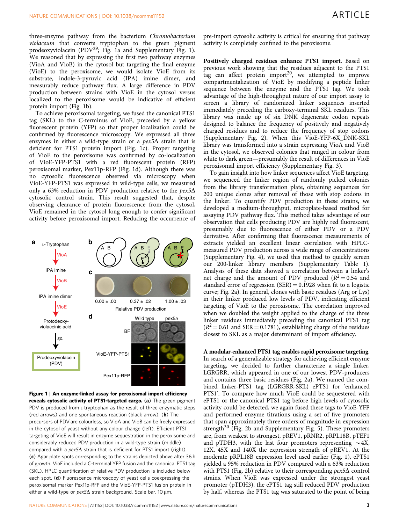three-enzyme pathway from the bacterium Chromobacterium violaceum that converts tryptophan to the green pigment prodeoxyviolacein (PDV<sup>[29](#page-10-0)</sup>; Fig. 1a and Supplementary Fig. 1). We reasoned that by expressing the first two pathway enzymes (VioA and VioB) in the cytosol but targeting the final enzyme (VioE) to the peroxisome, we would isolate VioE from its substrate, indole-3-pyruvic acid (IPA) imine dimer, and measurably reduce pathway flux. A large difference in PDV production between strains with VioE in the cytosol versus localized to the peroxisome would be indicative of efficient protein import (Fig. 1b).

To achieve peroxisomal targeting, we fused the canonical PTS1 tag (SKL) to the C-terminus of VioE, preceded by a yellow fluorescent protein (YFP) so that proper localization could be confirmed by fluorescence microscopy. We expressed all three enzymes in either a wild-type strain or a  $pex5\Delta$  strain that is deficient for PTS1 protein import (Fig. 1c). Proper targeting of VioE to the peroxisome was confirmed by co-localization of VioE-YFP-PTS1 with a red fluorescent protein (RFP) peroxisomal marker, Pex11p-RFP (Fig. 1d). Although there was no cytosolic fluorescence observed via microscopy when VioE-YFP-PTS1 was expressed in wild-type cells, we measured only a 63% reduction in PDV production relative to the  $pex5\Delta$ cytosolic control strain. This result suggested that, despite observing clearance of protein fluorescence from the cytosol, VioE remained in the cytosol long enough to confer significant activity before peroxisomal import. Reducing the occurrence of



Figure 1 | An enzyme-linked assay for peroxisomal import efficiency reveals cytosolic activity of PTS1-targeted cargo. (a) The green pigment PDV is produced from L-tryptophan as the result of three enzymatic steps (red arrows) and one spontaneous reaction (black arrow). (b) The precursors of PDV are colourless, so VioA and VioB can be freely expressed in the cytosol of yeast without any colour change (left). Efficient PTS1 targeting of VioE will result in enzyme sequestration in the peroxisome and considerably reduced PDV production in a wild-type strain (middle) compared with a  $pex5\Delta$  strain that is deficient for PTS1 import (right). (c) Agar plate spots corresponding to the strains depicted above after 36 h of growth. VioE included a C-terminal YFP fusion and the canonical PTS1 tag (SKL). HPLC quantification of relative PDV production is included below each spot. (d) Fluorescence microscopy of yeast cells coexpressing the peroxisomal marker Pex11p-RFP and the VioE-YFP-PTS1 fusion protein in either a wild-type or  $pex5\Delta$  strain background. Scale bar, 10  $\mu$ m.

pre-import cytosolic activity is critical for ensuring that pathway activity is completely confined to the peroxisome.

Positively charged residues enhance PTS1 import. Based on previous work showing that the residues adjacent to the PTS1 tag can affect protein import<sup>20</sup>, we attempted to improve compartmentalization of VioE by modifying a peptide linker sequence between the enzyme and the PTS1 tag. We took advantage of the high-throughput nature of our import assay to screen a library of randomized linker sequences inserted immediately preceding the carboxy-terminal SKL residues. This library was made up of six DNK degenerate codon repeats designed to balance the frequency of positively and negatively charged residues and to reduce the frequency of stop codons (Supplementary Fig. 2). When this VioE-YFP-6X\_DNK-SKL library was transformed into a strain expressing VioA and VioB in the cytosol, we observed colonies that ranged in colour from white to dark green—presumably the result of differences in VioE peroxisomal import efficiency (Supplementary Fig. 3).

To gain insight into how linker sequences affect VioE targeting, we sequenced the linker region of randomly picked colonies from the library transformation plate, obtaining sequences for 200 unique clones after removal of those with stop codons in the linker. To quantify PDV production in these strains, we developed a medium-throughput, microplate-based method for assaying PDV pathway flux. This method takes advantage of our observation that cells producing PDV are highly red fluorescent, presumably due to fluorescence of either PDV or a PDV derivative. After confirming that fluorescence measurements of extracts yielded an excellent linear correlation with HPLCmeasured PDV production across a wide range of concentrations (Supplementary Fig. 4), we used this method to quickly screen our 200-linker library members (Supplementary Table 1). Analysis of these data showed a correlation between a linker's net charge and the amount of PDV produced  $(R^2 = 0.54$  and standard error of regression  $(SER) = 0.1928$  when fit to a logistic curve; [Fig. 2a\)](#page-3-0). In general, clones with basic residues (Arg or Lys) in their linker produced low levels of PDV, indicating efficient targeting of VioE to the peroxisome. The correlation improved when we doubled the weight applied to the charge of the three linker residues immediately preceding the canonical PTS1 tag  $(R^2 = 0.61$  and SER = 0.1781), establishing charge of the residues closest to SKL as a major determinant of import efficiency.

A modular-enhanced PTS1 tag enables rapid peroxisome targeting. In search of a generalizable strategy for achieving efficient enzyme targeting, we decided to further characterize a single linker, LGRGRR, which appeared in one of our lowest PDV-producers and contains three basic residues [\(Fig. 2a](#page-3-0)). We named the combined linker-PTS1 tag (LGRGRR-SKL) ePTS1 for 'enhanced PTS1'. To compare how much VioE could be sequestered with ePTS1 or the canonical PTS1 tag before high levels of cytosolic activity could be detected, we again fused these tags to VioE-YFP and performed enzyme titrations using a set of five promoters that span approximately three orders of magnitude in expression strength $30$  ([Fig. 2b](#page-3-0) and Supplementary Fig. 5). These promoters are, from weakest to strongest, pREV1, pRNR2, pRPL18B, pTEF1 and pTDH3, with the last four promoters representing  $\sim$  4X, 12X, 45X and 140X the expression strength of pREV1. At the moderate pRPL18B expression level used earlier (Fig. 1), ePTS1 yielded a 95% reduction in PDV compared with a 63% reduction with PTS1 ([Fig. 2b\)](#page-3-0) relative to their corresponding  $pex5\Delta$  control strains. When VioE was expressed under the strongest yeast promoter (pTDH3), the ePTS1 tag still reduced PDV production by half, whereas the PTS1 tag was saturated to the point of being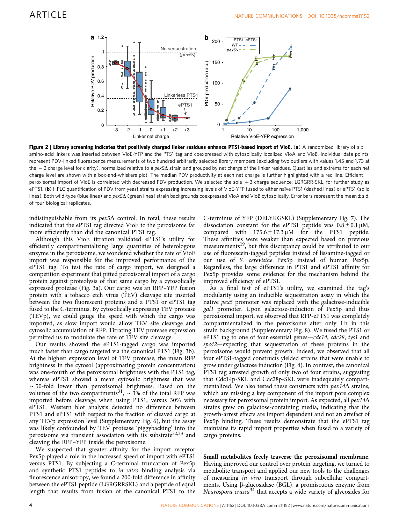<span id="page-3-0"></span>

Figure 2 | Library screening indicates that positively charged linker residues enhance PTS1-based import of VioE. (a) A randomized library of six amino-acid linkers was inserted between VioE-YFP and the PTS1 tag and coexpressed with cytosolically localized VioA and VioB. Individual data points represent PDV-linked fluorescence measurements of two hundred arbitrarily selected library members (excluding two outliers with values 1.45 and 1.73 at the  $-$  2 charge level for clarity), normalized relative to a  $\mathrm{pex}5\Delta$  strain and grouped by net charge of the linker residues. Quartiles and extrema for each net charge level are shown with a box-and-whiskers plot. The median PDV productivity at each net charge is further highlighted with a red line. Efficient peroxisomal import of VioE is correlated with decreased PDV production. We selected the sole  $+3$  charge sequence, LGRGRR-SKL, for further study as ePTS1. (b) HPLC quantification of PDV from yeast strains expressing increasing levels of VioE-YFP fused to either naïve PTS1 (dashed lines) or ePTS1 (solid lines). Both wild-type (blue lines) and pex5 $\Delta$  (green lines) strain backgrounds coexpressed VioA and VioB cytosolically. Error bars represent the mean ± s.d. of four biological replicates.

indistinguishable from its  $pex5\Delta$  control. In total, these results indicated that the ePTS1 tag directed VioE to the peroxisome far more efficiently than did the canonical PTS1 tag.

Although this VioE titration validated ePTS1's utility for efficiently compartmentalizing large quantities of heterologous enzyme in the peroxisome, we wondered whether the rate of VioE import was responsible for the improved performance of the ePTS1 tag. To test the rate of cargo import, we designed a competition experiment that pitted peroxisomal import of a cargo protein against proteolysis of that same cargo by a cytosolically expressed protease [\(Fig. 3a](#page-4-0)). Our cargo was an RFP–YFP fusion protein with a tobacco etch virus (TEV) cleavage site inserted between the two fluorescent proteins and a PTS1 or ePTS1 tag fused to the C-terminus. By cytosolically expressing TEV protease (TEVp), we could gauge the speed with which the cargo was imported, as slow import would allow TEV site cleavage and cytosolic accumulation of RFP. Titrating TEV protease expression permitted us to modulate the rate of TEV site cleavage.

Our results showed the ePTS1-tagged cargo was imported much faster than cargo targeted via the canonical PTS1 ([Fig. 3b](#page-4-0)). At the highest expression level of TEV protease, the mean RFP brightness in the cytosol (approximating protein concentration) was one-fourth of the peroxisomal brightness with the PTS1 tag, whereas ePTS1 showed a mean cytosolic brightness that was  $\sim$  50-fold lower than peroxisomal brightness. Based on the volumes of the two compartments<sup>[31](#page-10-0)</sup>,  $\sim$ 3% of the total RFP was imported before cleavage when using PTS1, versus 30% with ePTS1. Western blot analysis detected no difference between PTS1 and ePTS1 with respect to the fraction of cleaved cargo at any TEVp expression level (Supplementary Fig. 6), but the assay was likely confounded by TEV protease 'piggybacking' into the peroxisome via transient association with its substrate<sup>[32,33](#page-10-0)</sup> and cleaving the RFP–YFP inside the peroxisome.

We suspected that greater affinity for the import receptor Pex5p played a role in the increased speed of import with ePTS1 versus PTS1. By subjecting a C-terminal truncation of Pex5p and synthetic PTS1 peptides to in vitro binding analysis via fluorescence anisotropy, we found a 200-fold difference in affinity between the ePTS1 peptide (LGRGRRSKL) and a peptide of equal length that results from fusion of the canonical PTS1 to the C-terminus of YFP (DELYKGSKL) (Supplementary Fig. 7). The dissociation constant for the ePTS1 peptide was  $0.8 \pm 0.1 \mu M$ , compared with  $175.6 \pm 17.3 \,\mu\text{M}$  for the PTS1 peptide. These affinities were weaker than expected based on previous measurements<sup>[19](#page-9-0)</sup>, but this discrepancy could be attributed to our use of fluorescein-tagged peptides instead of lissamine-tagged or our use of S. cerevisiae Pex5p instead of human Pex5p. Regardless, the large difference in PTS1 and ePTS1 affinity for Pex5p provides some evidence for the mechanism behind the improved efficiency of ePTS1.

As a final test of ePTS1's utility, we examined the tag's modularity using an inducible sequestration assay in which the native pex5 promoter was replaced with the galactose-inducible gal1 promoter. Upon galactose-induction of Pex5p and thus peroxisomal import, we observed that RFP-ePTS1 was completely compartmentalized in the peroxisome after only 1 h in this strain background (Supplementary Fig. 8). We fused the PTS1 or ePTS1 tag to one of four essential genes-cdc14, cdc28, tys1 and spc42—expecting that sequestration of these proteins in the peroxisome would prevent growth. Indeed, we observed that all four ePTS1-tagged constructs yielded strains that were unable to grow under galactose induction ([Fig. 4](#page-4-0)). In contrast, the canonical PTS1 tag arrested growth of only two of four strains, suggesting that Cdc14p-SKL and Cdc28p-SKL were inadequately compartmentalized. We also tested these constructs with  $pex14\Delta$  strains, which are missing a key component of the import pore complex necessary for peroxisomal protein import. As expected, all  $pex14\Delta$ strains grew on galactose-containing media, indicating that the growth-arrest effects are import dependent and not an artefact of Pex5p binding. These results demonstrate that the ePTS1 tag maintains its rapid import properties when fused to a variety of cargo proteins.

Small metabolites freely traverse the peroxisomal membrane. Having improved our control over protein targeting, we turned to metabolite transport and applied our new tools to the challenges of measuring in vivo transport through subcellular compartments. Using  $\beta$ -glucosidase (BGL), a promiscuous enzyme from Neurospora  $crasa^{34}$  $crasa^{34}$  $crasa^{34}$  that accepts a wide variety of glycosides for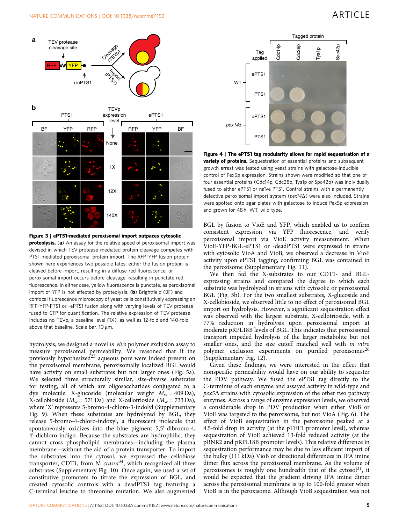<span id="page-4-0"></span>



Figure 3 | ePTS1-mediated peroxisomal import outpaces cytosolic proteolysis. (a) An assay for the relative speed of peroxisomal import was devised in which TEV protease-mediated protein cleavage competes with PTS1-mediated peroxisomal protein import. The RFP–YFP fusion protein shown here experiences two possible fates: either the fusion protein is cleaved before import, resulting in a diffuse red fluorescence, or peroxisomal import occurs before cleavage, resulting in punctate red fluorescence. In either case, yellow fluorescence is punctate, as peroxisomal import of YFP is not affected by proteolysis. (b) Brightfield (BF) and confocal fluorescence microscopy of yeast cells constitutively expressing an RFP-YFP-PTS1 or -ePTS1 fusion along with varying levels of TEV protease fused to CFP for quantification. The relative expression of TEV protease includes no TEVp, a baseline level (1X), as well as 12-fold and 140-fold above that baseline. Scale bar, 10 um.

hydrolysis, we designed a novel in vivo polymer exclusion assay to measure peroxisomal permeability. We reasoned that if the previously hypothesized<sup>[23](#page-10-0)</sup> aqueous pore were indeed present on the peroxisomal membrane, peroxisomally localized BGL would have activity on small substrates but not larger ones ([Fig. 5a](#page-5-0)). We selected three structurally similar, size-diverse substrates for testing, all of which are oligosaccharides conjugated to a dye molecule: X-glucoside (molecular weight  $M_w = 409$  Da), X-cellobioside ( $M_w$  = 571 Da) and X-cellotrioside ( $M_w$  = 733 Da), where 'X' represents 5-bromo-4-chloro-3-indolyl (Supplementary Fig. 9). When these substrates are hydrolyzed by BGL, they release 5-bromo-4-chloro-indoxyl, a fluorescent molecule that spontaneously oxidizes into the blue pigment 5,5'-dibromo-4, 4<sup>7</sup>-dichloro-indigo. Because the substrates are hydrophilic, they cannot cross phospholipid membranes—including the plasma membrane—without the aid of a protein transporter. To import the substrates into the cytosol, we expressed the cellobiose transporter, CDT1, from  $N$ . crassa<sup>[34](#page-10-0)</sup>, which recognized all three substrates (Supplementary Fig. 10). Once again, we used a set of constitutive promoters to titrate the expression of BGL, and created cytosolic controls with a deadPTS1 tag featuring a C-terminal leucine to threonine mutation. We also augmented



Figure 4 | The ePTS1 tag modularity allows for rapid sequestration of a **variety of proteins.** Sequestration of essential proteins and subsequent growth arrest was tested using yeast strains with galactose-inducible control of Pex5p expression. Strains shown were modified so that one of four essential proteins (Cdc14p, Cdc28p, Tys1p or Spc42p) was individually fused to either ePTS1 or naïve PTS1. Control strains with a permanently defective peroxisomal import system ( $pex14\Lambda$ ) were also included. Strains were spotted onto agar plates with galactose to induce Pex5p expression and grown for 48 h. WT, wild type.

BGL by fusion to VioE and YFP, which enabled us to confirm consistent expression via YFP fluorescence, and verify peroxisomal import via VioE activity measurement. When VioE-YFP-BGL-ePTS1 or -deadPTS1 were expressed in strains with cytosolic VioA and VioB, we observed a decrease in VioE activity upon ePTS1 tagging, confirming BGL was contained in the peroxisome (Supplementary Fig. 11).

We then fed the X-substrates to our CDT1- and BGLexpressing strains and compared the degree to which each substrate was hydrolyzed in strains with cytosolic or peroxisomal BGL ([Fig. 5b](#page-5-0)). For the two smallest substrates, X-glucoside and X-cellobioside, we observed little to no effect of peroxisomal BGL import on hydrolysis. However, a significant sequestration effect was observed with the largest substrate, X-cellotrioside, with a 77% reduction in hydrolysis upon peroxisomal import at moderate pRPL18B levels of BGL. This indicates that peroxisomal transport impeded hydrolysis of the larger metabolite but not smaller ones, and the size cutoff matched well with in vitro polymer exclusion experiments on purified peroxisomes<sup>[26](#page-10-0)</sup> (Supplementary Fig. 12).

Given these findings, we were interested in the effect that nonspecific permeability would have on our ability to sequester the PDV pathway. We fused the ePTS1 tag directly to the C-terminus of each enzyme and assayed activity in wild-type and  $\rho$ ex5 $\Delta$  strains with cytosolic expression of the other two pathway enzymes. Across a range of enzyme expression levels, we observed a considerable drop in PDV production when either VioB or VioE was targeted to the peroxisome, but not VioA [\(Fig. 6\)](#page-5-0). The effect of VioB sequestration in the peroxisome peaked at a 4.5-fold drop in activity (at the pTEF1 promoter level), whereas sequestration of VioE achieved 13-fold reduced activity (at the pRNR2 and pRPL18B promoter levels). This relative difference in sequestration performance may be due to less efficient import of the bulky (111 kDa) VioB or directional differences in IPA imine dimer flux across the peroxisomal membrane. As the volume of peroxisomes is roughly one hundredth that of the cytosol<sup>[31](#page-10-0)</sup>, it would be expected that the gradient driving IPA imine dimer across the peroxisomal membrane is up to 100-fold greater when VioB is in the peroxisome. Although VioB sequestration was not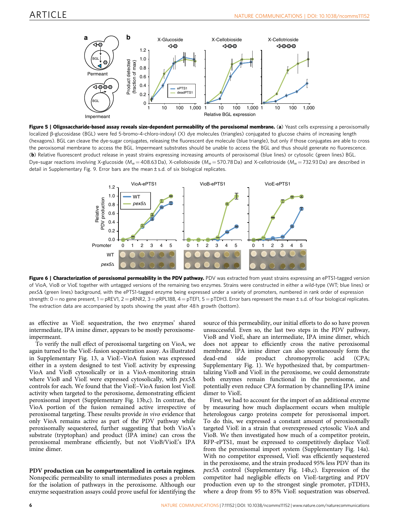<span id="page-5-0"></span>





Figure 6 | Characterization of peroxisomal permeability in the PDV pathway. PDV was extracted from yeast strains expressing an ePTS1-tagged version of VioA, VioB or VioE together with untagged versions of the remaining two enzymes. Strains were constructed in either a wild-type (WT; blue lines) or pex5 $\Delta$  (green lines) background, with the ePTS1-tagged enzyme being expressed under a variety of promoters, numbered in rank order of expression strength:  $0 =$  no gene present,  $1 =$  pREV1,  $2 =$  pRNR2,  $3 =$  pRPL18B,  $4 =$  pTEF1,  $5 =$  pTDH3. Error bars represent the mean $\pm$  s.d. of four biological replicates. The extraction data are accompanied by spots showing the yeast after 48 h growth (bottom).

as effective as VioE sequestration, the two enzymes' shared intermediate, IPA imine dimer, appears to be mostly peroxisomeimpermeant.

To verify the null effect of peroxisomal targeting on VioA, we again turned to the VioE-fusion sequestration assay. As illustrated in Supplementary Fig. 13, a VioE–VioA fusion was expressed either in a system designed to test VioE activity by expressing VioA and VioB cytosolically or in a VioA-monitoring strain where VioB and VioE were expressed cytosolically, with  $pex5\Delta$ controls for each. We found that the VioE–VioA fusion lost VioE activity when targeted to the peroxisome, demonstrating efficient peroxisomal import (Supplementary Fig. 13b,c). In contrast, the VioA portion of the fusion remained active irrespective of peroxisomal targeting. These results provide in vivo evidence that only VioA remains active as part of the PDV pathway while peroxisomally sequestered, further suggesting that both VioA's substrate (tryptophan) and product (IPA imine) can cross the peroxisomal membrane efficiently, but not VioB/VioE's IPA imine dimer.

### PDV production can be compartmentalized in certain regimes.

Nonspecific permeability to small intermediates poses a problem for the isolation of pathways in the peroxisome. Although our enzyme sequestration assays could prove useful for identifying the source of this permeability, our initial efforts to do so have proven unsuccessful. Even so, the last two steps in the PDV pathway, VioB and VioE, share an intermediate, IPA imine dimer, which does not appear to efficiently cross the native peroxisomal membrane. IPA imine dimer can also spontaneously form the dead-end side product chromopyrrolic acid (CPA; Supplementary Fig. 1). We hypothesized that, by compartmentalizing VioB and VioE in the peroxisome, we could demonstrate both enzymes remain functional in the peroxisome, and potentially even reduce CPA formation by channelling IPA imine dimer to VioE.

First, we had to account for the import of an additional enzyme by measuring how much displacement occurs when multiple heterologous cargo proteins compete for peroxisomal import. To do this, we expressed a constant amount of peroxisomally targeted VioE in a strain that overexpressed cytosolic VioA and VioB. We then investigated how much of a competitor protein, RFP-ePTS1, must be expressed to competitively displace VioE from the peroxisomal import system (Supplementary Fig. 14a). With no competitor expressed, VioE was efficiently sequestered in the peroxisome, and the strain produced 95% less PDV than its  $pex5\Delta$  control (Supplementary Fig. 14b,c). Expression of the competitor had negligible effects on VioE-targeting and PDV production even up to the strongest single promoter, pTDH3, where a drop from 95 to 85% VioE sequestration was observed.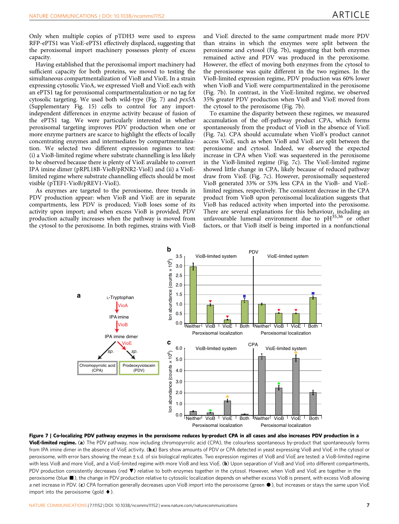<span id="page-6-0"></span>Only when multiple copies of pTDH3 were used to express RFP-ePTS1 was VioE-ePTS1 effectively displaced, suggesting that the peroxisomal import machinery possesses plenty of excess capacity.

Having established that the peroxisomal import machinery had sufficient capacity for both proteins, we moved to testing the simultaneous compartmentalization of VioB and VioE. In a strain expressing cytosolic VioA, we expressed VioB and VioE each with an ePTS1 tag for peroxisomal compartmentalization or no tag for cytosolic targeting. We used both wild-type (Fig. 7) and  $pex5\Delta$ (Supplementary Fig. 15) cells to control for any importindependent differences in enzyme activity because of fusion of the ePTS1 tag. We were particularly interested in whether peroxisomal targeting improves PDV production when one or more enzyme partners are scarce to highlight the effects of locally concentrating enzymes and intermediates by compartmentalization. We selected two different expression regimes to test: (i) a VioB-limited regime where substrate channelling is less likely to be observed because there is plenty of VioE available to convert IPA imine dimer (pRPL18B-VioB/pRNR2-VioE) and (ii) a VioElimited regime where substrate channelling effects should be most visible (pTEF1-VioB/pREV1-VioE).

As enzymes are targeted to the peroxisome, three trends in PDV production appear: when VioB and VioE are in separate compartments, less PDV is produced; VioB loses some of its activity upon import; and when excess VioB is provided, PDV production actually increases when the pathway is moved from the cytosol to the peroxisome. In both regimes, strains with VioB

and VioE directed to the same compartment made more PDV than strains in which the enzymes were split between the peroxisome and cytosol (Fig. 7b), suggesting that both enzymes remained active and PDV was produced in the peroxisome. However, the effect of moving both enzymes from the cytosol to the peroxisome was quite different in the two regimes. In the VioB-limited expression regime, PDV production was 60% lower when VioB and VioE were compartmentalized in the peroxisome (Fig. 7b). In contrast, in the VioE-limited regime, we observed 35% greater PDV production when VioB and VioE moved from the cytosol to the peroxisome (Fig. 7b).

To examine the disparity between these regimes, we measured accumulation of the off-pathway product CPA, which forms spontaneously from the product of VioB in the absence of VioE (Fig. 7a). CPA should accumulate when VioB's product cannot access VioE, such as when VioB and VioE are split between the peroxisome and cytosol. Indeed, we observed the expected increase in CPA when VioE was sequestered in the peroxisome in the VioB-limited regime (Fig. 7c). The VioE-limited regime showed little change in CPA, likely because of reduced pathway draw from VioE (Fig. 7c). However, peroxisomally sequestered VioB generated 33% or 53% less CPA in the VioB- and VioElimited regimes, respectively. The consistent decrease in the CPA product from VioB upon peroxisomal localization suggests that VioB has reduced activity when imported into the peroxisome. There are several explanations for this behaviour, including an unfavourable lumenal environment due to  $pH<sup>35,36</sup>$  $pH<sup>35,36</sup>$  $pH<sup>35,36</sup>$  or other factors, or that VioB itself is being imported in a nonfunctional



Figure 7 | Co-localizing PDV pathway enzymes in the peroxisome reduces by-product CPA in all cases and also increases PDV production in a VioE-limited regime. (a) The PDV pathway, now including chromopyrrolic acid (CPA), the colourless spontaneous by-product that spontaneously forms from IPA imine dimer in the absence of VioE activity. (b,c) Bars show amounts of PDV or CPA detected in yeast expressing VioB and VioE in the cytosol or peroxisome, with error bars showing the mean±s.d. of six biological replicates. Two expression regimes of VioB and VioE are tested: a VioB-limited regime with less VioB and more VioE, and a VioE-limited regime with more VioB and less VioE. (b) Upon separation of VioB and VioE into different compartments, PDV production consistently decreases (red ▼) relative to both enzymes together in the cytosol. However, when VioB and VioE are together in the peroxisome (blue  $\blacksquare$ ), the change in PDV production relative to cytosolic localization depends on whether excess VioB is present, with excess VioB allowing a net increase in PDV. (c) CPA formation generally decreases upon VioB import into the peroxisome (green  $\bullet$ ), but increases or stays the same upon VioE import into the peroxisome (gold  $\blacklozenge$ ).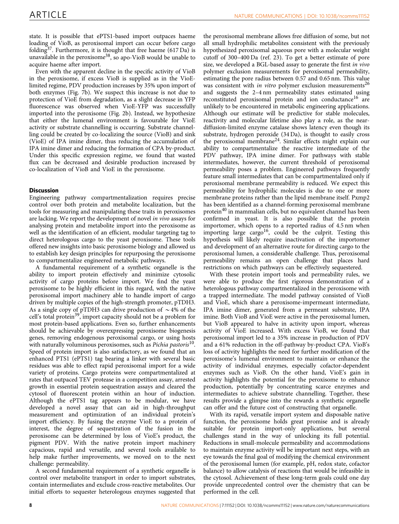state. It is possible that ePTS1-based import outpaces haeme loading of VioB, as peroxisomal import can occur before cargo folding<sup>37</sup>. Furthermore, it is thought that free haeme (617 Da) is unavailable in the peroxisome<sup>38</sup>, so apo-VioB would be unable to acquire haeme after import.

Even with the apparent decline in the specific activity of VioB in the peroxisome, if excess VioB is supplied as in the VioElimited regime, PDV production increases by 35% upon import of both enzymes [\(Fig. 7b](#page-6-0)). We suspect this increase is not due to protection of VioE from degradation, as a slight decrease in YFP fluorescence was observed when VioE-YFP was successfully imported into the peroxisome ([Fig. 2b\)](#page-3-0). Instead, we hypothesize that either the lumenal environment is favourable for VioE activity or substrate channelling is occurring. Substrate channelling could be created by co-localizing the source (VioB) and sink (VioE) of IPA imine dimer, thus reducing the accumulation of IPA imine dimer and reducing the formation of CPA by-product. Under this specific expression regime, we found that wasted flux can be decreased and desirable production increased by co-localization of VioB and VioE in the peroxisome.

### **Discussion**

Engineering pathway compartmentalization requires precise control over both protein and metabolite localization, but the tools for measuring and manipulating these traits in peroxisomes are lacking. We report the development of novel in vivo assays for analysing protein and metabolite import into the peroxisome as well as the identification of an efficient, modular targeting tag to direct heterologous cargo to the yeast peroxisome. These tools offered new insights into basic peroxisome biology and allowed us to establish key design principles for repurposing the peroxisome to compartmentalize engineered metabolic pathways.

A fundamental requirement of a synthetic organelle is the ability to import protein effectively and minimize cytosolic activity of cargo proteins before import. We find the yeast peroxisome to be highly efficient in this regard, with the native peroxisomal import machinery able to handle import of cargo driven by multiple copies of the high-strength promoter, pTDH3. As a single copy of pTDH3 can drive production of  $\sim$  4% of the cell's total protein<sup>39</sup>, import capacity should not be a problem for most protein-based applications. Even so, further enhancements should be achievable by overexpressing peroxisome biogenesis genes, removing endogenous peroxisomal cargo, or using hosts with naturally voluminous peroxisomes, such as Pichia pastoris<sup>10</sup>. Speed of protein import is also satisfactory, as we found that an enhanced PTS1 (ePTS1) tag bearing a linker with several basic residues was able to effect rapid peroxisomal import for a wide variety of proteins. Cargo proteins were compartmentalized at rates that outpaced TEV protease in a competition assay, arrested growth in essential protein sequestration assays and cleared the cytosol of fluorescent protein within an hour of induction. Although the ePTS1 tag appears to be modular, we have developed a novel assay that can aid in high-throughput measurement and optimization of an individual protein's import efficiency. By fusing the enzyme VioE to a protein of interest, the degree of sequestration of the fusion in the peroxisome can be determined by loss of VioE's product, the pigment PDV. With the native protein import machinery capacious, rapid and versatile, and several tools available to help make further improvements, we moved on to the next challenge: permeability.

A second fundamental requirement of a synthetic organelle is control over metabolite transport in order to import substrates, contain intermediates and exclude cross-reactive metabolites. Our initial efforts to sequester heterologous enzymes suggested that

the peroxisomal membrane allows free diffusion of some, but not all small hydrophilic metabolites consistent with the previously hypothesized peroxisomal aqueous pore with a molecular weight cutoff of 300–400 Da [\(ref. 23](#page-10-0)). To get a better estimate of pore size, we developed a BGL-based assay to generate the first *in vivo* polymer exclusion measurements for peroxisomal permeability, estimating the pore radius between 0.57 and 0.65 nm. This value was consistent with *in vitro* polymer exclusion measurements<sup>[26](#page-10-0)</sup> and suggests the 2–4 nm permeability states estimated using reconstituted peroxisomal protein and ion conductance<sup>[16](#page-9-0)</sup> are unlikely to be encountered in metabolic engineering applications. Although our estimate will be predictive for stable molecules, reactivity and molecular lifetime also play a role, as the neardiffusion-limited enzyme catalase shows latency even though its substrate, hydrogen peroxide (34 Da), is thought to easily cross the peroxisomal membrane[24](#page-10-0). Similar effects might explain our ability to compartmentalize the reactive intermediate of the PDV pathway, IPA imine dimer. For pathways with stable intermediates, however, the current threshold of peroxisomal permeability poses a problem. Engineered pathways frequently feature small intermediates that can be compartmentalized only if peroxisomal membrane permeability is reduced. We expect this permeability for hydrophilic molecules is due to one or more membrane proteins rather than the lipid membrane itself. Pxmp2 has been identified as a channel-forming peroxisomal membrane protein[40](#page-10-0) in mammalian cells, but no equivalent channel has been confirmed in yeast. It is also possible that the protein importomer, which opens to a reported radius of 4.5 nm when importing large cargo<sup>16</sup>, could be the culprit. Testing this hypothesis will likely require inactivation of the importomer and development of an alternative route for directing cargo to the peroxisomal lumen, a considerable challenge. Thus, peroxisomal permeability remains an open challenge that places hard restrictions on which pathways can be effectively sequestered.

With these protein import tools and permeability rules, we were able to produce the first rigorous demonstration of a heterologous pathway compartmentalized in the peroxisome with a trapped intermediate. The model pathway consisted of VioB and VioE, which share a peroxisome-impermeant intermediate, IPA imine dimer, generated from a permeant substrate, IPA imine. Both VioB and VioE were active in the peroxisomal lumen, but VioB appeared to halve in activity upon import, whereas activity of VioE increased. With excess VioB, we found that peroxisomal import led to a 35% increase in production of PDV and a 61% reduction in the off-pathway by-product CPA. VioB's loss of activity highlights the need for further modification of the peroxisome's lumenal environment to maintain or enhance the activity of individual enzymes, especially cofactor-dependent enzymes such as VioB. On the other hand, VioE's gain in activity highlights the potential for the peroxisome to enhance production, potentially by concentrating scarce enzymes and intermediates to achieve substrate channelling. Together, these results provide a glimpse into the rewards a synthetic organelle can offer and the future cost of constructing that organelle.

With its rapid, versatile import system and disposable native function, the peroxisome holds great promise and is already suitable for protein import-only applications, but several challenges stand in the way of unlocking its full potential. Reductions in small-molecule permeability and accommodations to maintain enzyme activity will be important next steps, with an eye towards the final goal of modifying the chemical environment of the peroxisomal lumen (for example, pH, redox state, cofactor balance) to allow catalysis of reactions that would be infeasible in the cytosol. Achievement of these long-term goals could one day provide unprecedented control over the chemistry that can be performed in the cell.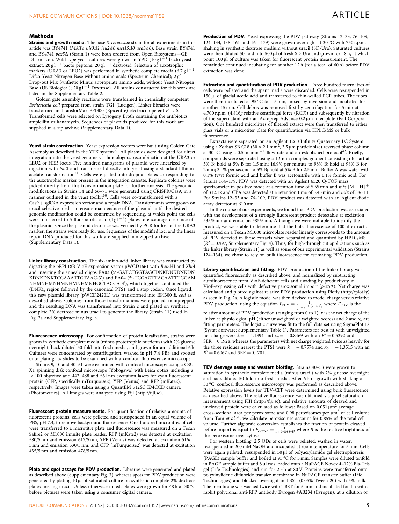### **Methods**

Strains and growth media. The base S. cerevisiae strain for all experiments in this article was BY4741 (MATa his3A1 leu2A0 met15A0 ura3A0). Base strain BY4741 and BY4741  $\rho e x 5\Delta$  (Strain 1) were both ordered from Open Biosystems-GE Dharmacon. Wild-type yeast cultures were grown in YPD (10 g l  $^{-1}$  bacto yeast extract; 20 g l  $^{-1}$  bacto peptone; 20 g l  $^{-1}$  dextrose). Selection of auxotrophic markers (URA3 or LEU2) was performed in synthetic complete media (6.7 gl<sup>-1</sup> Difco Yeast Nitrogen Base without amino acids (Spectrum Chemical); 2 g l 1 Drop-out Mix Synthetic Minus appropriate amino acids, without Yeast Nitrogen Base (US Biological); 20 g l  $^{-1}$  Dextrose). All strains constructed for this work are listed in the Supplementary Table 2.

Golden gate assembly reactions were transformed in chemically competent Escherichia coli prepared from strain TG1 (Lucigen). Linker libraries were transformed in TransforMax EPI300 (Epicentre) electrocompetent E. coli. Transformed cells were selected on Lysogeny Broth containing the antibiotics ampicillin or kanamycin. Sequences of plasmids produced for this work are supplied in a zip archive (Supplementary Data 1).

Yeast strain construction. Yeast expression vectors were built using Golden Gate Assembly as described in the YTK system<sup>30</sup>. All plasmids were designed for direct integration into the yeast genome via homologous recombination at the URA3 or LEU2 or HIS3 locus. Five hundred nanograms of plasmid were linearized by digestion with NotI and transformed directly into yeast using a standard lithium acetate transformation<sup>[41](#page-10-0)</sup>. Cells were plated onto dropout plates corresponding to the auxotrophic marker present in the integration cassette. Replicate colonies were picked directly from this transformation plate for further analysis. The genomic modifications in Strains 54 and 56–71 were generated using CRISPR/Cas9, in a<br>manner outlined in the yeast toolkit<sup>[30](#page-10-0)</sup>. Cells were co-transformed with a  $Cas9 + sgRNA$  expression vector and a repair DNA. Transformants were grown on uracil-selective media to ensure maintenance of the plasmid until the desired genomic modification could be confirmed by sequencing, at which point the cells<br>were transferred to 5-fluoroorotic acid  $(1 g1^{-1})$  plates to encourage clearance of the plasmid. Once the plasmid clearance was verified by PCR for loss of the URA3 marker, the strains were ready for use. Sequences of the modified loci and the linear repair DNA produced for this work are supplied in a zipped archive (Supplementary Data 1).

Linker library construction. The six-amino-acid linker library was constructed by digesting the pRPL18B-VioE expression vector pWCD1661 with BamHI and XhoI and inserting the annealed oligos EA03 (5'-GATCTGGTAGCDNKDNKDNKDN KDNKDNKTCCAAATTGTAAC-3<sup>'</sup>) and EA04 (5'-TCGAGTTACAATTTGGAM NHMNHMNHMNHMNHGCTACCA-3'), which together contained the  $(DNK)_6$  region followed by the canonical PTS1 and a stop codon. Once ligated, this new plasmid library (pWCD2420L) was transformed into EPI300 E. coli as described above. Colonies from those transformations were pooled, miniprepped and the resulting DNA was transformed into Strain 2 and plated on synthetic complete 2% dextrose minus uracil to generate the library (Strain 11) used in [Fig. 2a](#page-3-0) and Supplementary Fig. 3.

Fluorescence microscopy. For confirmation of protein localization, strains were grown in synthetic complete media (minus prototrophic nutrients) with 2% glucose overnight, back diluted 50-fold into fresh media, and grown for an additional 6 h. Cultures were concentrated by centrifugation, washed in pH 7.4 PBS and spotted onto plain glass slides to be examined with a confocal fluorescence microscope.

Strains 9, 10 and 40–51 were examined with confocal microscopy using a CSU-X1 spinning disk confocal microscope (Yokogawa) with Leica optics including a  $\times$  100 objective and 442, 488 and 561 nm excitation lasers for cyan fluorescent protein (CFP, specifically mTurquoise2), YFP (Venus) and RFP (mKate2), respectively. Images were taken using a QuantEM 512SC EMCCD camera (Photometrics). All images were analysed using Fiji [\(http://fiji.sc](http://fiji.sc)).

Fluorescent protein measurements. For quantification of relative amounts of fluorescent proteins, cells were pelleted and resuspended in an equal volume of PBS, pH 7.4, to remove background fluorescence. One hundred microlitres of cells were transferred to a microtitre plate and fluorescence was measured on a Tecan Safire2 or M1000 infinite plate reader. RFP (mKate2) was detected at excitation 580/5 nm and emission 617/5 nm, YFP (Venus) was detected at excitation 516/ 5 nm and emission 530/5 nm, and CFP (mTurquoise2) was detected at excitation 435/5 nm and emission 478/5 nm.

Plate and spot assays for PDV production. Libraries were generated and plated as described above (Supplementary Fig. 3), whereas spots for PDV production were generated by plating 10 µl of saturated culture on synthetic complete 2% dextrose plates missing uracil. Unless otherwise noted, plates were grown for 48 h at 30 °C before pictures were taken using a consumer digital camera.

**Production of PDV.** Yeast expressing the PDV pathway (Strains 12-33, 76-109, 124–134, 138–161 and 164–179) were grown overnight at 30 °C with 750 r.p.m. shaking in synthetic dextrose medium without uracil (SD-Ura). Saturated cultures were then diluted 50-fold into 500 µl of fresh SD-Ura and grown for 48 h, at which point 100 µl of culture was taken for fluorescent protein measurement. The remainder continued incubating for another 12 h (for a total of 60 h) before PDV extraction was done.

Extraction and quantification of PDV production. Three hundred microlitres of cells were pelleted and the spent media were discarded. Cells were resuspended in 150 µl of glacial acetic acid and transferred to thin-walled PCR tubes. The tubes were then incubated at  $95^{\circ}$ C for 15 min, mixed by inversion and incubated for another 15 min. Cell debris was removed first by centrifugation for 5 min at 4,700 r.p.m. (4,816g relative centrifugal force (RCF)) and subsequently by filtration of the supernatant with an Acroprep Advance 0.2 um filter plate (Pall Corporation). One hundred microlitres of filtered extract were then transferred to either glass vials or a microtiter plate for quantification via HPLC/MS or bulk fluorescence.

Extracts were separated on an Agilent 1260 Infinity Quaternary LC System using a Zorbax SB C18 (30  $\times$  2.1 mm<sup>2</sup>, 3.5 µm particle size) reversed phase column at 30 °C using a 0.5 ml min<sup>-1</sup> flow rate and an established protocol<sup>42</sup>. Briefly, compounds were separated using a 12-min complex gradient consisting of: start at 5% B; hold at 5% B for 1.5 min; 16.9% per minute to 98% B; hold at 98% B for 2 min; 3.1% per second to 5% B; hold at 5% B for 2.5 min. Buffer A was water with 0.1% (v/v) formic acid and buffer B was acetonitrile with 0.1% formic acid. For Strains 164–179, PDV was detected with an Agilent 6520 Q-TOF mass spectrometer in positive mode at a retention time of 5.55 min and  $m/z$  [M + H]<sup>+</sup> of 312.12 and CPA was detected at a retention time of 5.45 min and m/z of 386.11. For Strains 12–33 and 76–109, PDV product was detected with an Agilent diode array detector at 610 nm.

In the course of our experiments, we found that PDV production was associated with the development of a strongly fluorescent product detectable at excitation 535/5 nm and emission 585/5 nm. Although we were not able to identify the product, we were able to determine that the bulk fluorescence of 100 µl extracts measured on a Tecan M1000 microplate reader linearly corresponds to the amount of PDV detected in those extracts when separated and quantified by HPLC/MS  $(R^2 = 0.997;$  Supplementary Fig. 4). Thus, for high-throughput applications such as the linker library (Strain 11) as well as some of our experimental validation (Strains 124–134), we chose to rely on bulk fluorescence for estimating PDV production.

Library quantification and fitting. PDV production of the linker library was quantified fluorescently as described above, and normalized by subtracting autofluorescence from VioE-deficient cells and dividing by productivity in VioE-expressing cells with defective peroxisomal import  $(\text{pex5}\Delta)$ . Net charge was calculated and plotted against relative PDV production using Plotly (<http://plot.ly>) as seen in [Fig. 2a.](#page-3-0) A logistic model was then devised to model charge versus relative PDV production, using the equation  $F_{\text{PDV}} = \frac{1}{(1 + e^{-k*(x - x_0)})}$  where  $F_{\text{PDV}}$  is the

relative amount of PDV production (ranging from 0 to 1),  $\stackrel{'}{x}$  is the net charge of the linker at physiological pH (either unweighted or weighted scores) and  $k$  and  $x_0$  are fitting parameters. The logistic curve was fit to the full data set using SigmaPlot 13 (Systat Software; Supplementary Table 1). Parameters for best fit with unweighted net charge were  $k = -1.1394$  and  $x_0 = -0.8469$  with an  $R^2 = 0.5392$  and  $SER = 0.1928$ , whereas the parameters with net charge weighted twice as heavily for the three residues nearest the PTS1 were  $k = -0.7574$  and  $x_0 = -1.3515$  with an  $R^2 = 0.6067$  and SER = 0.1781.

TEV cleavage assay and western blotting. Strains 40-53 were grown to saturation in synthetic complete media (minus uracil) with 2% glucose overnight and back diluted 50-fold into fresh media. After 6 h of growth with shaking at 30 °C, confocal fluorescence microscopy was performed as described above. Relative expression levels for TEV-CFP were determined using bulk fluorescence as described above. The relative fluorescence was obtained via pixel saturation measurement using FIJI [\(http://fiji.sc\)](http://fiji.sc), and relative amounts of cleaved and uncleaved protein were calculated as follows: Based on  $0.051 \,\mathrm{\upmu m}^2$  average cross-sectional area per peroxisome and 0.98 peroxisomes per  $\mu$ m<sup>3</sup> of cell volume from Tam et al.<sup>31</sup>, we calculate peroxisomes account for 0.85% of the total cell volume. Further algebraic conversion establishes the fraction of protein cleaved before import is equal to  $F_{\text{cleared}} = \frac{1}{1 + 0.0085*B}$ , where *B* is the relative brightness of the peroxisome over cytosol.

For western blotting, 2.5 ODs of cells were pelleted, washed in water, resuspended in 200 mM NaOH and incubated at room temperature for 5 min. Cells were again pelleted, resuspended in 50 µl of polyacrylamide gel electrophoresis (PAGE) sample buffer and boiled at 95  $^{\circ}$ C for 5 min. Samples were diluted tenfold in PAGE sample buffer and 8 µl was loaded onto a NuPAGE Novex 4-12% Bis-Tris gel (Life Technologies) and run for 2.5 h at 80 V. Proteins were transferred onto polyvinylidene difluoride transfer membrane in NuPAGE transfer buffer (Life Technologies) and blocked overnight in TBST (0.05% Tween-20) with 5% milk. The membrane was washed twice with TBST for 5 min and incubated for 1 h with a rabbit polyclonal anti-RFP antibody Evrogen #AB234 (Evrogen), at a dilution of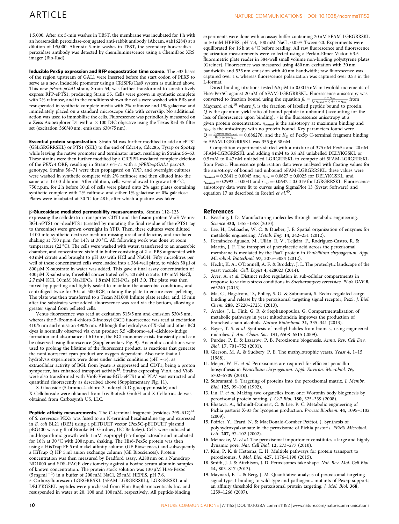<span id="page-9-0"></span>1:5,000. After six 5-min washes in TBST, the membrane was incubated for 1 h with an horseradish peroxidase-conjugated anti-rabbit antibody (Abcam, #ab16284) at a dilution of 1:5,000. After six 5-min washes in TBST, the secondary horseradish peroxidase antibody was detected by chemiluminescence using a ChemiDoc XRS imager (Bio-Rad).

Inducible Pex5p expression and RFP sequestration time course. The 533 bases of the region upstream of GAL1 were inserted before the start codon of PEX5 to serve as a new, inducible promoter using a CRISPR/Cas9 system as outlined above. This new pPex5::pGal1 strain, Strain 54, was further transformed to constitutively express RFP-ePTS1, producing Strain 55. Cells were grown in synthetic complete with 2% raffinose, and in the conditions shown the cells were washed with PBS and resuspended in synthetic complete media with 2% raffinose and 1% galactose and immediately placed on a standard microscope slide with coverslip. No additional action was used to immobilize the cells. Fluorescence was periodically measured on a Zeiss Axioexplorer D1 with a  $\,\times\,100$  DIC objective using the Texas Red 45 filter set (excitation 560/40 nm, emission 630/75 nm).

Essential protein sequestration. Strain 54 was further modified to add an ePTS1 (GSLGRGRRSKL) or PTS1 (SKL) to the end of Cdc14p, Cdc28p, Tys1p or Spc42p while leaving the native promoter and terminator intact, resulting in Strains 56–63. These strains were then further modified by a CRISPR-mediated complete deletion of the PEX14 ORF, resulting in Strains 64-71 with a pPEX5:: pGAL1 pex14 $\Delta$ genotype. Strains 56–71 were then propagated on YPD, and overnight cultures were washed in synthetic complete with 2% raffinose and then diluted into the same at a 1:100 dilution. After dilution, cells were allowed to grow at 30  $^{\circ}\textrm{C},$ 750 r.p.m. for 2 h before 10  $\mu$ l of cells were plated onto 2% agar plates containing synthetic complete with 2% raffinose and either 1% galactose or 0% galactose. Plates were incubated at 30  $^{\circ} \text{C}$  for 48 h, after which a picture was taken.

 $\beta$ -Glucosidase mediated permeability measurements. Strains 112-123 expressing the cellodextrin transporter CDT1 and the fusion protein VioE-Venus-BGL-ePTS1 or -deadPTS1 (created by mutating the final residue of the ePTS1 tag to threonine) were grown overnight in YPD. Then, these cultures were diluted 1:100 into synthetic dextrose medium missing uracil and leucine, and incubated shaking at 750 r.p.m. for 14 h at 30 °C. All following work was done at room temperature (22  $^{\circ}\textrm{C}$ ). The cells were washed with water, transferred to an anaerobic chamber, and concentrated sixfold in buffer consisting of 2  $\times$  PBS augmented with 40 mM citrate and brought to pH 3.0 with HCl and NaOH. Fifty microlitres per well of these concentrated cells were loaded into a 384-well plate, to which 50 µl of 800 µM X-substrate in water was added. This gave a final assay concentration of 400 mM X-substrate, threefold concentrated cells, 20 mM citrate, 137 mM NaCl, 2.7 mM KCl, 10 mM  $\text{Na}_2\text{HPO}_4$ , 1.8 mM  $\text{KH}_2\text{PO}_4$ , pH 3.0. The plate was then mixed by pipetting and tightly sealed to maintain the anaerobic conditions, and centrifuged twice for 30 s at 500 RCF, rotating the plate to ensure even pelleting. The plate was then transferred to a Tecan M1000 Infinite plate reader, and, 15 min after the substrates were added, fluorescence was read via the bottom, allowing a greater signal from pelleted cells.

Venus fluorescence was read at excitation 515/5 nm and emission 530/5 nm, whereas the 5-Bromo-4-chloro-3-indoxyl (BCI) fluorescence was read at excitation 410/5 nm and emission 490/5 nm. Although the hydrolysis of X-Gal and other BCI dyes is normally observed via cyan product 5,5'-dibromo-4,4'-dichloro-indigo formation and absorbance at 610 nm, the BCI monomer exists transiently and can be observed using fluorescence (Supplementary Fig. 9). Anaerobic conditions were used to prolong the lifetime of the fluorescent product, as reactions that generate the nonfluorescent cyan product are oxygen dependent. Also note that all hydrolysis experiments were done under acidic conditions (pH  $\sim$  3), as extracellular activity of BGL from lysate is suppressed and CDT1, being a proton symporter, has enhanced transport activity<sup>[43](#page-10-0)</sup>. Strains expressing VioA and VioB were also transformed with VioE-Venus-BGL-ePTS1 and PDV was extracted and quantified fluorescently as described above (Supplementary Fig. 11).

X-Glucoside (5-bromo-4-chloro-3-indoxyl-b-D-glucopyranoside) and X-Cellobioside were obtained from Iris Biotech GmbH and X-Cellotrioside was obtained from Carbosynth US, LLC.

**Peptide affinity measurements.** The C-terminal fragment (residues  $295-612$ )<sup>[44](#page-10-0)</sup> of S. cerevisiae PEX5 was fused to an N-terminal hexahistidine tag and expressed in E. coli BL21 (DE3) using a pETDUET vector (Pex5C-pETDUET plasmid pBG400 was a gift of Brooke M. Gardner, UC Berkeley). Cells were induced at mid-logarithmic growth with 1 mM isopropyl- $\beta$ -D-thiogalactoside and incubated for 16 h at 30 °C with 200 r.p.m. shaking. The His6-Pex5c protein was then using a HisTrap FF 5 ml nickel affinity column (GE Biosciences) and subsequently a HiTrap Q HP 5 ml anion exchange column (GE Biosciences). Protein concentration was then measured by Bradford assay, A280 nm on a Nanodrop ND1000 and SDS–PAGE densitometry against a bovine serum albumin samples of known concentration. The protein stock solution was 130 µM His6-Pex5c  $(5 \text{ mg ml}^{-1})$  in a buffer of 200 mM NaCl, 25 mM HEPES, pH 7.6. 5-Carboxyfluorescein-LGRGRRSKL (5FAM-LGRGRRSKL), LGRGRRSKL and DELYKGSKL peptides were purchased from Elim Biopharmaceuticals Inc. and resuspended in water at 20, 100 and 100 mM, respectively. All peptide-binding

experiments were done with an assay buffer containing 20 nM 5FAM-LGRGRRSKL in 50 mM HEPES, pH 7.4, 100 mM NaCl, 0.05% Tween-20. Experiments were equilibrated for 16 h at  $4^{\circ}$ C before reading. All raw fluorescence and fluorescence polarization measurements were collected using a Perkin-Elmer Victor V3.5 fluorometric plate reader in 384-well small volume non-binding polystyrene plates (Greiner). Fluorescence was measured using 480 nm excitation with 30 nm bandwidth and 535 nm emission with 40 nm bandwidth; raw fluorescence was captured over 1 s, whereas fluorescence polarization was captured over 0.5 s in the L-format.

Direct binding titrations tested 6.5 µM to 0.0015 nM in twofold increments of His6-Pex5C against 20 nM of 5FAM-LGRGRRSKL. Fluorescence anisotropy was converted to fraction bound using the equation  $f_b = \frac{r - r_{\text{free}}}{Q(r_{\text{bound}} - r) + (r - r_{\text{free}})}$  from Maynard et al.<sup>19</sup> where  $f<sub>b</sub>$  is the fraction of labelled peptide bound to protein, Q is the quantum yield ratio of bound peptide to unbound (accounting for the loss of fluorescence upon binding), r is the fluorescence anisotropy at a given protein concentration,  $r_{\text{bound}}$  is the anisotropy at maximum binding and  $r_{\text{free}}$  is the anisotropy with no protein bound. Key parameters found were  $Q = \frac{\text{fluorescence}_{\text{bound}}}{\text{fluorescence}_{\text{free}}} = 0.686276$ , and the  $K_{\text{D}}$  of Pex5p C-terminal fragment binding to  $5FAM-LGRGRSKL$  was  $355 \pm 6.38 \text{ nM}$ .

Competition experiments started with a mixture of 375 nM Pex5c and 20 nM 5FAM-LGRGRRSKL and adding 4 mM to 3.8 nM unlabelled DELYKGSKL or 0.5 mM to 0.47 nM unlabelled LGRGRRSKL to compete off 5FAM-LGRGRRSKL from Pex5c. Fluorescence polarization data were analysed with floating values for the anisotropy of bound and unbound 5FAM-LGRGRRSKL; these values were  $r_{\text{bound}} = 0.2841 \pm 0.0045$  and  $r_{\text{free}} = 0.0627 \pm 0.0025$  for DELYKGSKL, and  $r_{\rm bound}$  = 0.2993  $\pm$  0.0041 and  $r_{\rm free}$  = 0.0642  $\pm$  0.0019 for LGRGRRSKL. Fluorescence anisotropy data were fit to curves using SigmaPlot 13 (Systat Software) and equation 17 as described in Roehrl et  $al$ .<sup>45</sup>

### **References**

- 1. Keasling, J. D. Manufacturing molecules through metabolic engineering. Science 330, 1355–1358 (2010).
- Lee, H., DeLoache, W. C. & Dueber, J. E. Spatial organization of enzymes for metabolic engineering. Metab. Eng. 14, 242–251 (2012).
- Fernández-Aguado, M., Ullán, R. V., Teijeira, F., Rodríguez-Castro, R. & Martín, J. F. The transport of phenylacetic acid across the peroxisomal membrane is mediated by the PaaT protein in Penicillium chrysogenum. Appl. Microbiol. Biotechnol. 97, 3073–3084 (2012).
- 4. Hecht, K. A., O'Donnell, A. F. & Brodsky, J. L. The proteolytic landscape of the yeast vacuole. Cell. Logist 4, e28023 (2014).
- 5. Ayer, A. et al. Distinct redox regulation in sub-cellular compartments in response to various stress conditions in Saccharomyces cerevisiae. PLoS ONE 8, e65240 (2013).
- 6. Ma, C., Hagstrom, D., Polley, S. G. & Subramani, S. Redox-regulated cargo binding and release by the peroxisomal targeting signal receptor, Pex5. J. Biol. Chem. 288, 27220–27231 (2013).
- 7. Avalos, J. L., Fink, G. R. & Stephanopoulos, G. Compartmentalization of metabolic pathways in yeast mitochondria improves the production of branched-chain alcohols. Nature Biotechnol. 31, 335–341 (2013).
- 8. Bayer, T. S. et al. Synthesis of methyl halides from biomass using engineered microbes. J. Am. Chem. Soc. 131, 6508–6515 (2009).
- 9. Purdue, P. E. & Lazarow, P. B. Peroxisome biogenesis. Annu. Rev. Cell Dev. Biol. 17, 701–752 (2001).
- 10. Gleeson, M. A. & Sudbery, P. E. The methylotrophic yeasts. Yeast 4, 1–15 (1988).
- 11. Meijer, W. H. et al. Peroxisomes are required for efficient penicillin biosynthesis in Penicillium chrysogenum. Appl. Environ. Microbiol. 76, 5702–5709 (2010).
- 12. Subramani, S. Targeting of proteins into the peroxisomal matrix. J. Membr. Biol. 125, 99–106 (1992).
- 13. Liu, F. et al. Making two organelles from one: Woronin body biogenesis by peroxisomal protein sorting. J. Cell Biol. 180, 325–339 (2008).
- 14. Bhataya, A., Schmidt-Dannert, C. & Lee, P. C. Metabolic engineering of Pichia pastoris X-33 for lycopene production. Process Biochem. 44, 1095–1102  $(2009)$
- 15. Poirier, Y., Erard, N. & MacDonald-Comber Petétot, J. Synthesis of polyhydroxyalkanoate in the peroxisome of Pichia pastoris. FEMS Microbiol. Lett. 207, 97–102 (2002).
- 16. Meinecke, M. et al. The peroxisomal importomer constitutes a large and highly dynamic pore. Nat. Cell Biol. 12, 273–277 (2010).
- 17. Kim, P. K. & Hettema, E. H. Multiple pathways for protein transport to peroxisomes. J. Mol. Biol. 427, 1176–1190 (2015).
- 18. Smith, J. J. & Aitchison, J. D. Peroxisomes take shape. Nat. Rev. Mol. Cell Biol. 14, 803–817 (2013).
- 19. Maynard, E. L. & Berg, J. M. Quantitative analysis of peroxisomal targeting signal type-1 binding to wild-type and pathogenic mutants of Pex5p supports an affinity threshold for peroxisomal protein targeting. J. Mol. Biol. 368, 1259–1266 (2007).